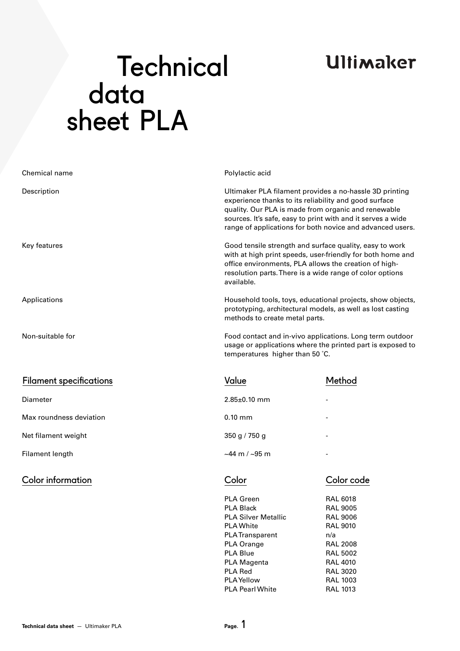## **Ultimaker**

# **Technical**  data sheet PLA

| Chemical name                  | Polylactic acid                                                                                                                                                                                                                                                                                     |        |  |  |
|--------------------------------|-----------------------------------------------------------------------------------------------------------------------------------------------------------------------------------------------------------------------------------------------------------------------------------------------------|--------|--|--|
| Description                    | Ultimaker PLA filament provides a no-hassle 3D printing<br>experience thanks to its reliability and good surface<br>quality. Our PLA is made from organic and renewable<br>sources. It's safe, easy to print with and it serves a wide<br>range of applications for both novice and advanced users. |        |  |  |
| Key features                   | Good tensile strength and surface quality, easy to work<br>with at high print speeds, user-friendly for both home and<br>office environments, PLA allows the creation of high-<br>resolution parts. There is a wide range of color options<br>available.                                            |        |  |  |
| Applications                   | Household tools, toys, educational projects, show objects,<br>prototyping, architectural models, as well as lost casting<br>methods to create metal parts.                                                                                                                                          |        |  |  |
| Non-suitable for               | Food contact and in-vivo applications. Long term outdoor<br>usage or applications where the printed part is exposed to<br>temperatures higher than 50 °C.                                                                                                                                           |        |  |  |
| <b>Filament specifications</b> | Value                                                                                                                                                                                                                                                                                               | Method |  |  |
| <b>Diameter</b>                | $2.85 \pm 0.10$ mm                                                                                                                                                                                                                                                                                  |        |  |  |
| Max roundness deviation        | $0.10$ mm                                                                                                                                                                                                                                                                                           |        |  |  |
| Net filament weight            | $350$ g / 750 g                                                                                                                                                                                                                                                                                     |        |  |  |

Filament length

Color information Color Color code

 $~144 \text{ m} / ~195 \text{ m}$ 

-

RAL 6018 RAL 9005 RAL 9006 RAL 9010 n/a RAL 2008 RAL 5002 RAL 4010 RAL 3020 RAL 1003 RAL 1013

PLA Green PLA Black PLA Silver Metallic PLA White PLA Transparent PLA Orange PLA Blue PLA Magenta PLA Red PLA Yellow PLA Pearl White

**Technical data sheet** — Ultimaker PLA **Page.** 1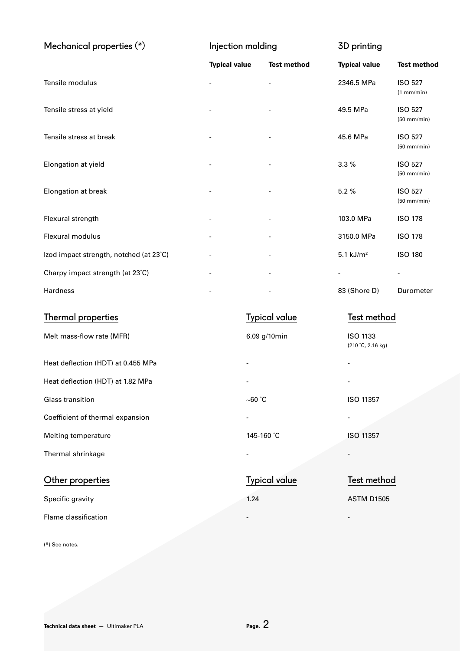| Mechanical properties $(*)$             | Injection molding    |                          | 3D printing                  |                                 |  |
|-----------------------------------------|----------------------|--------------------------|------------------------------|---------------------------------|--|
|                                         | <b>Typical value</b> | <b>Test method</b>       | <b>Typical value</b>         | <b>Test method</b>              |  |
| Tensile modulus                         |                      | $\overline{\phantom{a}}$ | 2346.5 MPa                   | <b>ISO 527</b><br>(1 mm/min)    |  |
| Tensile stress at yield                 |                      |                          | 49.5 MPa                     | <b>ISO 527</b><br>$(50$ mm/min) |  |
| Tensile stress at break                 |                      |                          | 45.6 MPa                     | <b>ISO 527</b><br>$(50$ mm/min) |  |
| Elongation at yield                     |                      |                          | 3.3%                         | <b>ISO 527</b><br>$(50$ mm/min) |  |
| Elongation at break                     |                      |                          | 5.2%                         | <b>ISO 527</b><br>$(50$ mm/min) |  |
| Flexural strength                       |                      |                          | 103.0 MPa                    | <b>ISO 178</b>                  |  |
| Flexural modulus                        |                      |                          | 3150.0 MPa                   | <b>ISO 178</b>                  |  |
| Izod impact strength, notched (at 23°C) |                      |                          | $5.1$ kJ/m <sup>2</sup>      | <b>ISO 180</b>                  |  |
| Charpy impact strength (at 23°C)        |                      |                          | $\qquad \qquad \blacksquare$ |                                 |  |
| Hardness                                |                      |                          | 83 (Shore D)                 | Durometer                       |  |
| <b>Thermal properties</b>               |                      | <b>Typical value</b>     |                              | Test method                     |  |
| Melt mass-flow rate (MFR)               |                      | 6.09 g/10min             | <b>ISO 1133</b>              |                                 |  |

|  | Heat deflection (HDT) at 0.455 MPa |  |
|--|------------------------------------|--|

Heat deflection (HDT) at 1.82 MPa

Coefficient of thermal expansion

Melting temperature

Thermal shrinkage

Glass transition

Other properties

Specific gravity

Flame classification

6.09 g/10min

-

-

-

-

 $~\sim$ 60  $^\circ$ C

-

145-160 ˚C

Typical value

1.24

### Test method

(210 ˚C, 2.16 kg)

ISO 11357

ISO 11357

-

-

-

-

-

ASTM D1505

(\*) See notes.